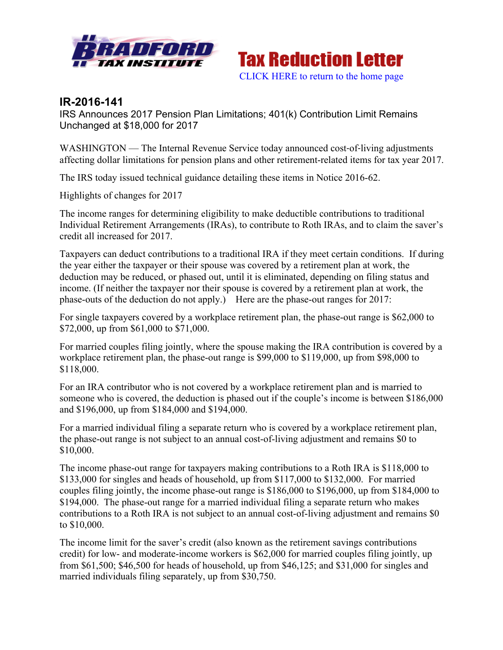



## **IR-2016-141**

IRS Announces 2017 Pension Plan Limitations; 401(k) Contribution Limit Remains Unchanged at \$18,000 for 2017

WASHINGTON — The Internal Revenue Service today announced cost-of-living adjustments affecting dollar limitations for pension plans and other retirement-related items for tax year 2017.

The IRS today issued technical guidance detailing these items in Notice 2016-62.

Highlights of changes for 2017

The income ranges for determining eligibility to make deductible contributions to traditional Individual Retirement Arrangements (IRAs), to contribute to Roth IRAs, and to claim the saver's credit all increased for 2017.

Taxpayers can deduct contributions to a traditional IRA if they meet certain conditions. If during the year either the taxpayer or their spouse was covered by a retirement plan at work, the deduction may be reduced, or phased out, until it is eliminated, depending on filing status and income. (If neither the taxpayer nor their spouse is covered by a retirement plan at work, the phase-outs of the deduction do not apply.) Here are the phase-out ranges for 2017:

For single taxpayers covered by a workplace retirement plan, the phase-out range is \$62,000 to \$72,000, up from \$61,000 to \$71,000.

For married couples filing jointly, where the spouse making the IRA contribution is covered by a workplace retirement plan, the phase-out range is \$99,000 to \$119,000, up from \$98,000 to \$118,000.

For an IRA contributor who is not covered by a workplace retirement plan and is married to someone who is covered, the deduction is phased out if the couple's income is between \$186,000 and \$196,000, up from \$184,000 and \$194,000.

For a married individual filing a separate return who is covered by a workplace retirement plan, the phase-out range is not subject to an annual cost-of-living adjustment and remains \$0 to \$10,000.

The income phase-out range for taxpayers making contributions to a Roth IRA is \$118,000 to \$133,000 for singles and heads of household, up from \$117,000 to \$132,000. For married couples filing jointly, the income phase-out range is \$186,000 to \$196,000, up from \$184,000 to \$194,000. The phase-out range for a married individual filing a separate return who makes contributions to a Roth IRA is not subject to an annual cost-of-living adjustment and remains \$0 to \$10,000.

The income limit for the saver's credit (also known as the retirement savings contributions credit) for low- and moderate-income workers is \$62,000 for married couples filing jointly, up from \$61,500; \$46,500 for heads of household, up from \$46,125; and \$31,000 for singles and married individuals filing separately, up from \$30,750.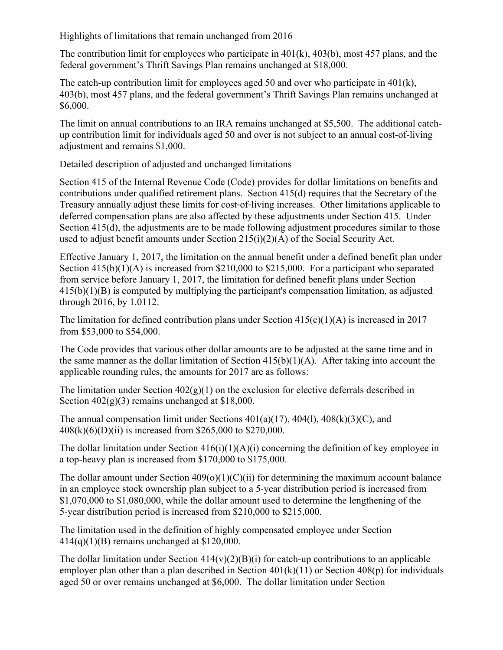Highlights of limitations that remain unchanged from 2016

The contribution limit for employees who participate in 401(k), 403(b), most 457 plans, and the federal government's Thrift Savings Plan remains unchanged at \$18,000.

The catch-up contribution limit for employees aged 50 and over who participate in  $401(k)$ , 403(b), most 457 plans, and the federal government's Thrift Savings Plan remains unchanged at \$6,000.

The limit on annual contributions to an IRA remains unchanged at \$5,500. The additional catchup contribution limit for individuals aged 50 and over is not subject to an annual cost-of-living adjustment and remains \$1,000.

Detailed description of adjusted and unchanged limitations

Section 415 of the Internal Revenue Code (Code) provides for dollar limitations on benefits and contributions under qualified retirement plans. Section 415(d) requires that the Secretary of the Treasury annually adjust these limits for cost‑of‑living increases. Other limitations applicable to deferred compensation plans are also affected by these adjustments under Section 415. Under Section 415(d), the adjustments are to be made following adjustment procedures similar to those used to adjust benefit amounts under Section 215(i)(2)(A) of the Social Security Act.

Effective January 1, 2017, the limitation on the annual benefit under a defined benefit plan under Section  $415(b)(1)(A)$  is increased from \$210,000 to \$215,000. For a participant who separated from service before January 1, 2017, the limitation for defined benefit plans under Section  $415(b)(1)(B)$  is computed by multiplying the participant's compensation limitation, as adjusted through 2016, by 1.0112.

The limitation for defined contribution plans under Section  $415(c)(1)(A)$  is increased in 2017 from \$53,000 to \$54,000.

The Code provides that various other dollar amounts are to be adjusted at the same time and in the same manner as the dollar limitation of Section  $415(b)(1)(A)$ . After taking into account the applicable rounding rules, the amounts for 2017 are as follows:

The limitation under Section  $402(g)(1)$  on the exclusion for elective deferrals described in Section  $402(g)(3)$  remains unchanged at \$18,000.

The annual compensation limit under Sections  $401(a)(17)$ ,  $404(1)$ ,  $408(k)(3)(C)$ , and 408(k)(6)(D)(ii) is increased from \$265,000 to \$270,000.

The dollar limitation under Section  $416(i)(1)(A)(i)$  concerning the definition of key employee in a top-heavy plan is increased from \$170,000 to \$175,000.

The dollar amount under Section  $409(0)(1)(C)(ii)$  for determining the maximum account balance in an employee stock ownership plan subject to a 5‑year distribution period is increased from \$1,070,000 to \$1,080,000, while the dollar amount used to determine the lengthening of the 5‑year distribution period is increased from \$210,000 to \$215,000.

The limitation used in the definition of highly compensated employee under Section 414(q)(1)(B) remains unchanged at \$120,000.

The dollar limitation under Section  $414(v)(2)(B)(i)$  for catch-up contributions to an applicable employer plan other than a plan described in Section  $401(k)(11)$  or Section  $408(p)$  for individuals aged 50 or over remains unchanged at \$6,000. The dollar limitation under Section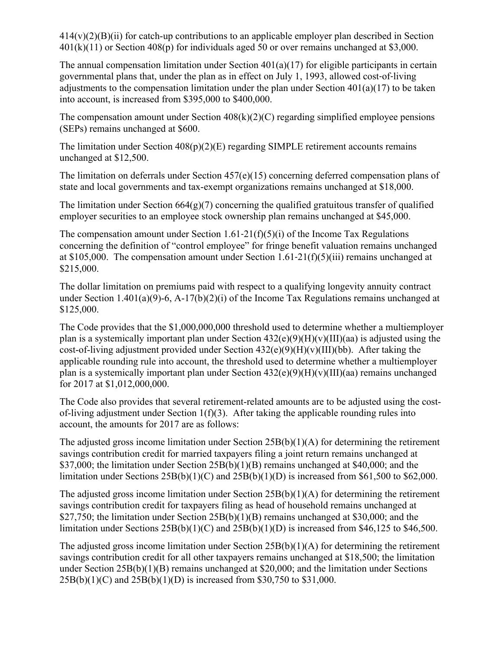$414(v)(2)(B)(ii)$  for catch-up contributions to an applicable employer plan described in Section  $401(k)(11)$  or Section  $408(p)$  for individuals aged 50 or over remains unchanged at \$3,000.

The annual compensation limitation under Section  $401(a)(17)$  for eligible participants in certain governmental plans that, under the plan as in effect on July 1, 1993, allowed cost-of-living adjustments to the compensation limitation under the plan under Section 401(a)(17) to be taken into account, is increased from \$395,000 to \$400,000.

The compensation amount under Section  $408(k)(2)(C)$  regarding simplified employee pensions (SEPs) remains unchanged at \$600.

The limitation under Section  $408(p)(2)(E)$  regarding SIMPLE retirement accounts remains unchanged at \$12,500.

The limitation on deferrals under Section 457(e)(15) concerning deferred compensation plans of state and local governments and tax-exempt organizations remains unchanged at \$18,000.

The limitation under Section  $664(g)(7)$  concerning the qualified gratuitous transfer of qualified employer securities to an employee stock ownership plan remains unchanged at \$45,000.

The compensation amount under Section  $1.61-21(f)(5)(i)$  of the Income Tax Regulations concerning the definition of "control employee" for fringe benefit valuation remains unchanged at \$105,000. The compensation amount under Section  $1.61-21(f)(5)(iii)$  remains unchanged at \$215,000.

The dollar limitation on premiums paid with respect to a qualifying longevity annuity contract under Section 1.401(a)(9)-6, A-17(b)(2)(i) of the Income Tax Regulations remains unchanged at \$125,000.

The Code provides that the \$1,000,000,000 threshold used to determine whether a multiemployer plan is a systemically important plan under Section  $432(e)(9)(H)(v)(III)(aa)$  is adjusted using the cost-of-living adjustment provided under Section  $432(e)(9)(H)(v)(III)(bb)$ . After taking the applicable rounding rule into account, the threshold used to determine whether a multiemployer plan is a systemically important plan under Section  $432(e)(9)(H)(v)(III)(aa)$  remains unchanged for 2017 at \$1,012,000,000.

The Code also provides that several retirement-related amounts are to be adjusted using the costof-living adjustment under Section 1(f)(3). After taking the applicable rounding rules into account, the amounts for 2017 are as follows:

The adjusted gross income limitation under Section 25B(b)(1)(A) for determining the retirement savings contribution credit for married taxpayers filing a joint return remains unchanged at \$37,000; the limitation under Section 25B(b)(1)(B) remains unchanged at \$40,000; and the limitation under Sections  $25B(b)(1)(C)$  and  $25B(b)(1)(D)$  is increased from \$61,500 to \$62,000.

The adjusted gross income limitation under Section 25B(b)(1)(A) for determining the retirement savings contribution credit for taxpayers filing as head of household remains unchanged at \$27,750; the limitation under Section 25B(b)(1)(B) remains unchanged at \$30,000; and the limitation under Sections  $25B(b)(1)(C)$  and  $25B(b)(1)(D)$  is increased from \$46,125 to \$46,500.

The adjusted gross income limitation under Section  $25B(b)(1)(A)$  for determining the retirement savings contribution credit for all other taxpayers remains unchanged at \$18,500; the limitation under Section 25B(b)(1)(B) remains unchanged at \$20,000; and the limitation under Sections 25B(b)(1)(C) and 25B(b)(1)(D) is increased from \$30,750 to \$31,000.